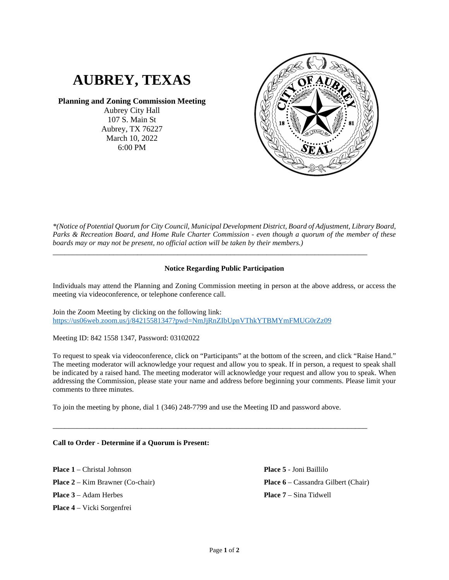# **AUBREY, TEXAS**

# **Planning and Zoning Commission Meeting**

Aubrey City Hall 107 S. Main St Aubrey, TX 76227 March 10, 2022 6:00 PM



*\*(Notice of Potential Quorum for City Council, Municipal Development District, Board of Adjustment, Library Board, Parks & Recreation Board, and Home Rule Charter Commission - even though a quorum of the member of these boards may or may not be present, no official action will be taken by their members.)*

## **Notice Regarding Public Participation**

\_\_\_\_\_\_\_\_\_\_\_\_\_\_\_\_\_\_\_\_\_\_\_\_\_\_\_\_\_\_\_\_\_\_\_\_\_\_\_\_\_\_\_\_\_\_\_\_\_\_\_\_\_\_\_\_\_\_\_\_\_\_\_\_\_\_\_\_\_\_\_\_\_\_\_\_\_\_

Individuals may attend the Planning and Zoning Commission meeting in person at the above address, or access the meeting via videoconference, or telephone conference call.

Join the Zoom Meeting by clicking on the following link: <https://us06web.zoom.us/j/84215581347?pwd=NmJjRnZIbUpnVThkYTBMYmFMUG0rZz09>

Meeting ID: 842 1558 1347, Password: 03102022

To request to speak via videoconference, click on "Participants" at the bottom of the screen, and click "Raise Hand." The meeting moderator will acknowledge your request and allow you to speak. If in person, a request to speak shall be indicated by a raised hand. The meeting moderator will acknowledge your request and allow you to speak. When addressing the Commission, please state your name and address before beginning your comments. Please limit your comments to three minutes.

To join the meeting by phone, dial 1 (346) 248-7799 and use the Meeting ID and password above.

\_\_\_\_\_\_\_\_\_\_\_\_\_\_\_\_\_\_\_\_\_\_\_\_\_\_\_\_\_\_\_\_\_\_\_\_\_\_\_\_\_\_\_\_\_\_\_\_\_\_\_\_\_\_\_\_\_\_\_\_\_\_\_\_\_\_\_\_\_\_\_\_\_\_\_\_\_\_

### **Call to Order - Determine if a Quorum is Present:**

**Place 1** – Christal Johnson **Place 2** – Kim Brawner (Co-chair) **Place 3** – Adam Herbes **Place 4** – Vicki Sorgenfrei

**Place 5** - Joni Baillilo **Place 6** – Cassandra Gilbert (Chair) **Place 7** – Sina Tidwell